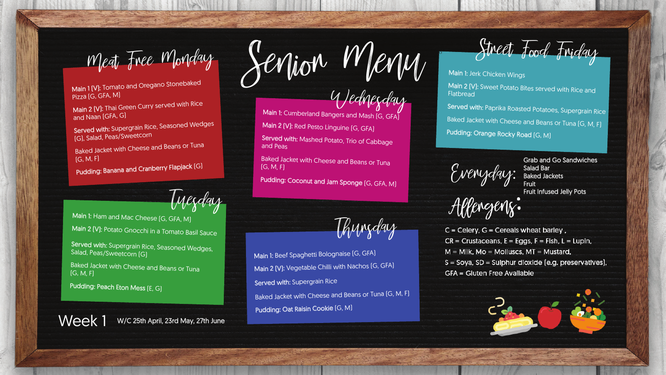O

Wednesday

Baked Jacket with Cheese and Beans or Tuna

Pudding: Coconut and Jam Sponge (G, GFA, M)

Tuesday

Main 1: Ham and Mac Cheese [G, GFA, M]

Main 2 (V): Potato Gnocchi in a Tomato Basil Sauce

Thursday

Main 1 [V]: Tomato and Oregano Stonebaked Pizza (G, GFA, M)

Served with: Supergrain Rice, Seasoned Wedges (G), Salad, Peas/Sweetcorn

Main 2 (V): Thai Green Curry served with Rice and Naan (GFA, G)

Main 1: Cumberland Bangers and Mash (G, GFA) Main 2 (V): Red Pesto Linguine (G, GFA) Served with: Mashed Potato, Trio of Cabbage

Baked Jacket with Cheese and Beans or Tuna (G, M, F)

Pudding: Banana and Cranberry Flapjack (G)

Main 1: Jerk Chicken Wings Main 2 (V): Sweet Potato Bites served with Rice and **Flatbread** Served with: Paprika Roasted Potatoes, Supergrain Rice Baked Jacket with Cheese and Beans or Tuna (G, M, F) Pudding: Orange Rocky Road (G, M)

Everyday: Salad Bar<br>Everyday: Baked Jac

and Peas

**Baked Jacket with Cheese and Beans or Tunal** (G, M, F)

(G, M, F)

Grab and Go Sandwiches<br>Salad Bar<br>Baked Jackets Baked Jackets Fruit Fruit Infused Jelly Pots

 $C = C$ elery,  $G = C$ ereals wheat barley,  $CR =$  Crustaceans,  $E =$  Eggs,  $F =$  Fish,  $L =$  Lupin,  $M =$  Milk, Mo = Molluscs, MT = Mustard, S = Soya, SD = Sulphur dioxide (e.g. preservatives), **GFA = Gluten Free Available** 





Served with: Supergrain Rice, Seasoned Wedges, Salad, Peas/Sweetcorn (G)

Pudding: Peach Eton Mess (E, G)

Week 1 W/C 25th April, 23rd May, 27th June

Main 1: Beef Spaghetti Bolognaise (G, GFA) Main 2 (V): Vegetable Chilli with Nachos (G, GFA) Served with: Supergrain Rice Baked Jacket with Cheese and Beans or Tuna (G, M, F) Pudding: Oat Raisin Cookie (G, M)

 $M$ eat Free Monday Senior Mion. Menu Street Food Friday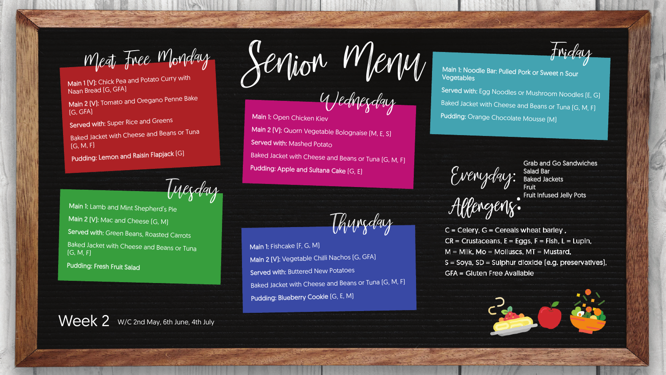Wednesday

Tuesday

Thursday

Main 1 (V): Chick Pea and Potato Curry with Naan Bread (G, GFA)

Main 2 (V): Tomato and Oregano Penne Bake (G, GFA)

Served with: Super Rice and Greens

Baked Jacket with Cheese and Beans or Tuna  $(G, M, F)$ 

Main 1: Open Chicken Kiev Main 2 (V): Quorn Vegetable Bolognaise (M, E, S) Served with: Mashed Potato Baked Jacket with Cheese and Beans or Tuna [G, M, F] Pudding: Apple and Sultana Cake (G, E)

Main 1: Noodle Bar: Pulled Pork or Sweet n Sour **Vegetables** Served with: Egg Noodles or Mushroom Noodles (E, G) Baked Jacket with Cheese and Beans or Tuna [G, M, F]

Everyday: Salad Bar

Pudding: Orange Chocolate Mousse [M]

Pudding: Lemon and Raisin Flapjack (G)

Main 1: Lamb and Mint Shepherd's Pie Main 2 (V): Mac and Cheese (G, M) Served with: Green Beans, Roasted Carrots **Baked Jacket with Cheese and Beans or Tuna** (G, M, F)

Pudding: Fresh Fruit Salad

Week 2 W/C 2nd May, 6th June, 4th July

Main 2 (V): Vegetable Chilli Nachos (G, GFA) Baked Jacket with Cheese and Beans or Tuna (G, M, F)

Main 1: Fishcake (F, G, M) Served with: Buttered New Potatoes Pudding: Blueberry Cookie (G, E, M)

Meat Free Monday Senjon Menu Friday

Grab and Go Sandwiches Baked Jackets Fruit Fruit Infused Jelly Pots

 $C = C$ elery,  $G = C$ ereals wheat barley,  $CR =$  Crustaceans,  $E =$  Eggs,  $F =$  Fish,  $L =$  Lupin,  $M =$  Milk, Mo = Molluscs, MT = Mustard, S = Soya, SD = Sulphur dioxide (e.g. preservatives), **GFA = Gluten Free Available** 



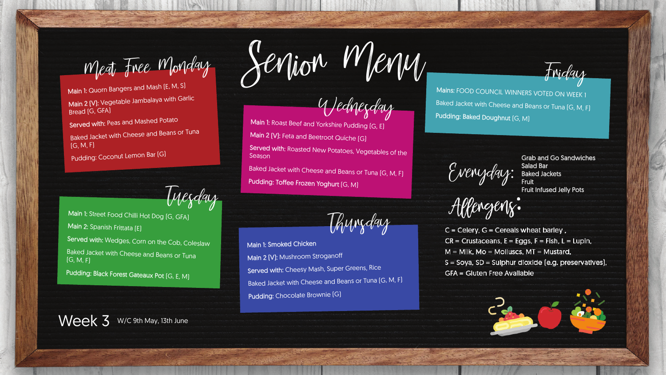Wednesday

Tuesday

Thursday

Baked Jacket with Cheese and Beans or Tuna  $(G, M, F)$ 

Main 1: Quorn Bangers and Mash (E, M, S) Main 2 [V]: Vegetable Jambalaya with Garlic Bread (G, GFA)

Served with: Peas and Mashed Potato

Pudding: Coconut Lemon Bar (G)

Main 1: Street Food Chilli Hot Dog (G, GFA) Main 2: Spanish Frittata (E) Served with: Wedges, Corn on the Cob, Coleslaw Baked Jacket with Cheese and Beans or Tuna  $[G, M, F]$ 

Main 1: Roast Beef and Yorkshire Pudding (G, E) Main 2 (V): Feta and Beetroot Quiche (G) Served with: Roasted New Potatoes, Vegetables of the Season Baked Jacket with Cheese and Beans or Tuna [G, M, F] Pudding: Toffee Frozen Yoghurt (G, M)

Main 1: Smoked Chicken Main 2 (V): Mushroom Stroganoff Served with: Cheesy Mash, Super Greens, Rice Baked Jacket with Cheese and Beans or Tuna (G, M, F) Pudding: Chocolate Brownie [G]

Week 3 W/C 9th May, 13th June

Meat Free Monday Senjon Meny Friday

Mains: FOOD COUNCIL WINNERS VOTED ON WEEK 1 Baked Jacket with Cheese and Beans or Tuna [G, M, F] Pudding: Baked Doughnut (G, M)

Everyday: Salad Bar<br>Everyday: Baked Jac

Pudding: Black Forest Gateaux Pot (G, E, M)



Grab and Go Sandwiches Baked Jackets Fruit Fruit Infused Jelly Pots

 $C = C$ elery,  $G = C$ ereals wheat barley,  $CR =$  Crustaceans,  $E =$  Eggs,  $F =$  Fish,  $L =$  Lupin,  $M =$  Milk, Mo = Molluscs, MT = Mustard, S = Soya, SD = Sulphur dioxide (e.g. preservatives), **GFA = Gluten Free Available**